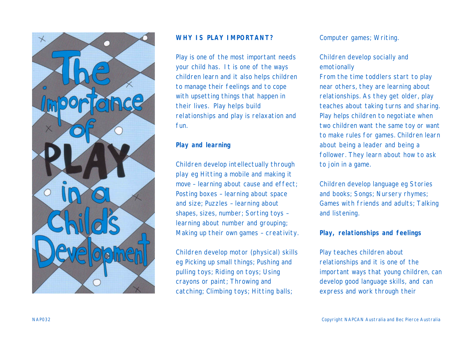

# **WHY IS PLAY IMPORTANT?**

Play is one of the most important needs your child has. It is one of the ways children learn and it also helps children to manage their feelings and to cope with upsetting things that happen in their lives. Play helps build relationships and play is relaxation and fun.

#### **Play and learning**

*Children develop intellectually through play* eg Hitting a mobile and making it move – learning about cause and effect; Posting boxes – learning about space and size; Puzzles – learning about shapes, sizes, number; Sorting toys – learning about number and grouping; Making up their own games – creativity.

*Children develop motor (physical) skills* eg Picking up small things; Pushing and pulling toys; Riding on toys; Using crayons or paint; Throwing and catching; Climbing toys; Hitting balls;

#### Computer games; Writing.

# *Children develop socially and emotionally*

From the time toddlers start to play near others, they are learning about relationships. As they get older, play teaches about taking turns and sharing. Play helps children to negotiate when two children want the same toy or want to make rules for games. Children learn about being a leader and being a follower. They learn about how to ask to join in a game.

*Children develop language* eg Stories and books; Songs; Nursery rhymes; Games with friends and adults; Talking and listening.

# **Play, relationships and feelings**

Play teaches children about relationships and it is one of the important ways that young children, can develop good language skills, and can express and work through their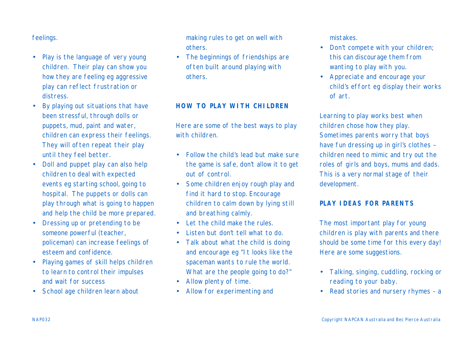## feelings.

- Play is the language of very young children. Their play can show you how they are feeling eg aggressive play can reflect frustration or distress.
- By playing out situations that have been stressful, through dolls or puppets, mud, paint and water, children can express their feelings. They will often repeat their play until they feel better.
- Doll and puppet play can also help children to deal with expected events eg starting school, going to hospital. The puppets or dolls can play through what is going to happen and help the child be more prepared.
- Dressing up or pretending to be someone powerful (teacher, policeman) can increase feelings of esteem and confidence.
- Playing games of skill helps children to learn to control their impulses and wait for success
- School age children learn about

making rules to get on well with others.

• The beginnings of friendships are often built around playing with others.

### **HOW TO PLAY WITH CHILDREN**

Here are some of the best ways to play with children.

- Follow the child's lead but make sure the game is safe, don't allow it to get out of control.
- Some children enjoy rough play and find it hard to stop. Encourage children to calm down by lying still and breathing calmly.
- Let the child make the rules.
- Listen but don't tell what to do.
- Talk about what the child is doing and encourage eg "It looks like the spaceman wants to rule the world. What are the people going to do?"
- Allow plenty of time.
- Allow for experimenting and

mistakes.

- Don't compete with your children; this can discourage them from wanting to play with you.
- Appreciate and encourage your child's effort eg display their works of art.

Learning to play works best when children chose how they play. Sometimes parents worry that boys have fun dressing up in girl's clothes – children need to mimic and try out the roles of girls and boys, mums and dads. This is a very normal stage of their development.

# **PLAY IDEAS FOR PARENTS**

The most important play for young children is play with parents and there should be some time for this every day! Here are some suggestions.

- Talking, singing, cuddling, rocking or reading to your baby.
- Read stories and nursery rhymes a